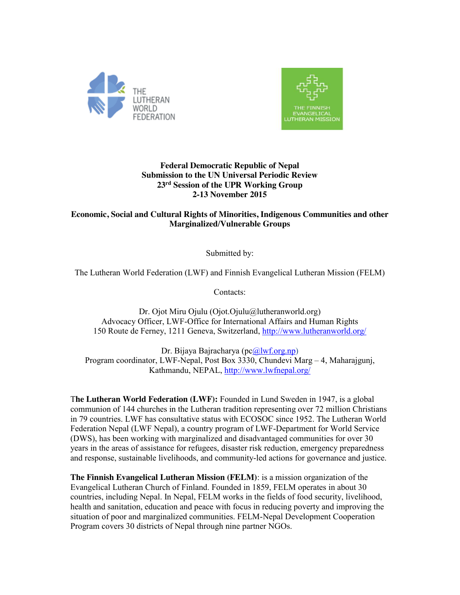



### **Federal Democratic Republic of Nepal Submission to the UN Universal Periodic Review 23rd Session of the UPR Working Group 2-13 November 2015**

# **Economic, Social and Cultural Rights of Minorities, Indigenous Communities and other Marginalized/Vulnerable Groups**

Submitted by:

The Lutheran World Federation (LWF) and Finnish Evangelical Lutheran Mission (FELM)

Contacts:

Dr. Ojot Miru Ojulu (Ojot.Ojulu@lutheranworld.org) Advocacy Officer, LWF-Office for International Affairs and Human Rights 150 Route de Ferney, 1211 Geneva, Switzerland, http://www.lutheranworld.org/

Dr. Bijaya Bajracharya (pc@lwf.org.np) Program coordinator, LWF-Nepal, Post Box 3330, Chundevi Marg – 4, Maharajgunj, Kathmandu, NEPAL, http://www.lwfnepal.org/

T**he Lutheran World Federation (LWF):** Founded in Lund Sweden in 1947, is a global communion of 144 churches in the Lutheran tradition representing over 72 million Christians in 79 countries. LWF has consultative status with ECOSOC since 1952. The Lutheran World Federation Nepal (LWF Nepal), a country program of LWF-Department for World Service (DWS), has been working with marginalized and disadvantaged communities for over 30 years in the areas of assistance for refugees, disaster risk reduction, emergency preparedness and response, sustainable livelihoods, and community-led actions for governance and justice.

**The Finnish Evangelical Lutheran Mission (FELM)**: is a mission organization of the Evangelical Lutheran Church of Finland. Founded in 1859, FELM operates in about 30 countries, including Nepal. In Nepal, FELM works in the fields of food security, livelihood, health and sanitation, education and peace with focus in reducing poverty and improving the situation of poor and marginalized communities. FELM-Nepal Development Cooperation Program covers 30 districts of Nepal through nine partner NGOs.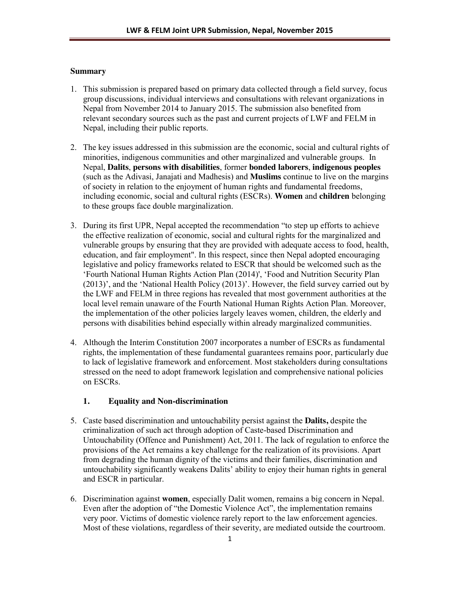### **Summary**

- 1. This submission is prepared based on primary data collected through a field survey, focus group discussions, individual interviews and consultations with relevant organizations in Nepal from November 2014 to January 2015. The submission also benefited from relevant secondary sources such as the past and current projects of LWF and FELM in Nepal, including their public reports.
- 2. The key issues addressed in this submission are the economic, social and cultural rights of minorities, indigenous communities and other marginalized and vulnerable groups. In Nepal, **Dalits**, **persons with disabilities**, former **bonded laborers**, **indigenous peoples** (such as the Adivasi, Janajati and Madhesis) and **Muslims** continue to live on the margins of society in relation to the enjoyment of human rights and fundamental freedoms, including economic, social and cultural rights (ESCRs). **Women** and **children** belonging to these groups face double marginalization.
- 3. During its first UPR, Nepal accepted the recommendation "to step up efforts to achieve the effective realization of economic, social and cultural rights for the marginalized and vulnerable groups by ensuring that they are provided with adequate access to food, health, education, and fair employment". In this respect, since then Nepal adopted encouraging legislative and policy frameworks related to ESCR that should be welcomed such as the 'Fourth National Human Rights Action Plan (2014)', 'Food and Nutrition Security Plan (2013)', and the 'National Health Policy (2013)'. However, the field survey carried out by the LWF and FELM in three regions has revealed that most government authorities at the local level remain unaware of the Fourth National Human Rights Action Plan. Moreover, the implementation of the other policies largely leaves women, children, the elderly and persons with disabilities behind especially within already marginalized communities.
- 4. Although the Interim Constitution 2007 incorporates a number of ESCRs as fundamental rights, the implementation of these fundamental guarantees remains poor, particularly due to lack of legislative framework and enforcement. Most stakeholders during consultations stressed on the need to adopt framework legislation and comprehensive national policies on ESCRs.

## **1. Equality and Non-discrimination**

- 5. Caste based discrimination and untouchability persist against the **Dalits,** despite the criminalization of such act through adoption of Caste-based Discrimination and Untouchability (Offence and Punishment) Act, 2011. The lack of regulation to enforce the provisions of the Act remains a key challenge for the realization of its provisions. Apart from degrading the human dignity of the victims and their families, discrimination and untouchability significantly weakens Dalits' ability to enjoy their human rights in general and ESCR in particular.
- 6. Discrimination against **women**, especially Dalit women, remains a big concern in Nepal. Even after the adoption of "the Domestic Violence Act", the implementation remains very poor. Victims of domestic violence rarely report to the law enforcement agencies. Most of these violations, regardless of their severity, are mediated outside the courtroom.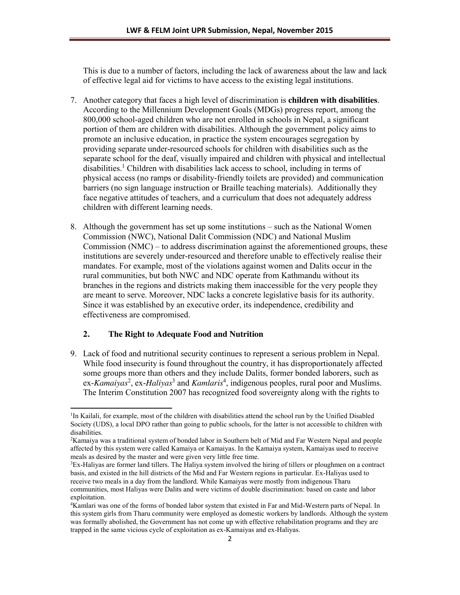This is due to a number of factors, including the lack of awareness about the law and lack of effective legal aid for victims to have access to the existing legal institutions.

- 7. Another category that faces a high level of discrimination is **children with disabilities**. According to the Millennium Development Goals (MDGs) progress report, among the 800,000 school-aged children who are not enrolled in schools in Nepal, a significant portion of them are children with disabilities. Although the government policy aims to promote an inclusive education, in practice the system encourages segregation by providing separate under-resourced schools for children with disabilities such as the separate school for the deaf, visually impaired and children with physical and intellectual  $disabilities<sup>1</sup> Children with disabilities lack access to school, including in terms of$ physical access (no ramps or disability-friendly toilets are provided) and communication barriers (no sign language instruction or Braille teaching materials). Additionally they face negative attitudes of teachers, and a curriculum that does not adequately address children with different learning needs.
- 8. Although the government has set up some institutions such as the National Women Commission (NWC), National Dalit Commission (NDC) and National Muslim Commission (NMC) – to address discrimination against the aforementioned groups, these institutions are severely under-resourced and therefore unable to effectively realise their mandates. For example, most of the violations against women and Dalits occur in the rural communities, but both NWC and NDC operate from Kathmandu without its branches in the regions and districts making them inaccessible for the very people they are meant to serve. Moreover, NDC lacks a concrete legislative basis for its authority. Since it was established by an executive order, its independence, credibility and effectiveness are compromised.

### **2. The Right to Adequate Food and Nutrition**

 $\overline{a}$ 

9. Lack of food and nutritional security continues to represent a serious problem in Nepal. While food insecurity is found throughout the country, it has disproportionately affected some groups more than others and they include Dalits, former bonded laborers, such as ex-*Kamaiyas*<sup>2</sup>, ex-*Haliyas*<sup>3</sup> and *Kamlaris*<sup>4</sup>, indigenous peoples, rural poor and Muslims. The Interim Constitution 2007 has recognized food sovereignty along with the rights to

3 Ex-Haliyas are former land tillers. The Haliya system involved the hiring of tillers or ploughmen on a contract basis, and existed in the hill districts of the Mid and Far Western regions in particular. Ex-Haliyas used to receive two meals in a day from the landlord. While Kamaiyas were mostly from indigenous Tharu communities, most Haliyas were Dalits and were victims of double discrimination: based on caste and labor exploitation.

<sup>&</sup>lt;sup>1</sup>In Kailali, for example, most of the children with disabilities attend the school run by the Unified Disabled Society (UDS), a local DPO rather than going to public schools, for the latter is not accessible to children with disabilities.

<sup>2</sup> Kamaiya was a traditional system of bonded labor in Southern belt of Mid and Far Western Nepal and people affected by this system were called Kamaiya or Kamaiyas. In the Kamaiya system, Kamaiyas used to receive meals as desired by the master and were given very little free time.

<sup>4</sup> Kamlari was one of the forms of bonded labor system that existed in Far and Mid-Western parts of Nepal. In this system girls from Tharu community were employed as domestic workers by landlords. Although the system was formally abolished, the Government has not come up with effective rehabilitation programs and they are trapped in the same vicious cycle of exploitation as ex-Kamaiyas and ex-Haliyas.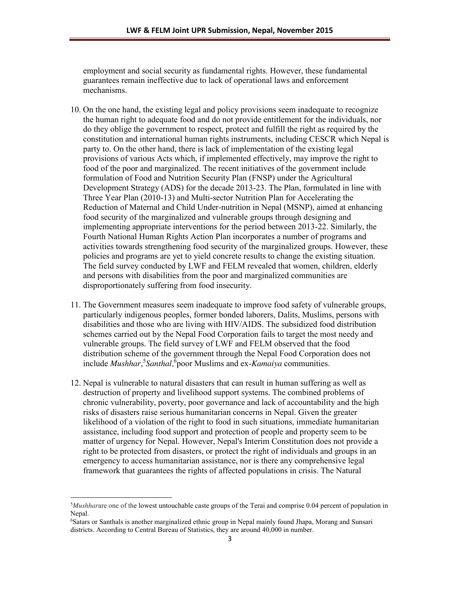employment and social security as fundamental rights. However, these fundamental guarantees remain ineffective due to lack of operational laws and enforcement mechanisms.

- 10. On the one hand, the existing legal and policy provisions seem inadequate to recognize the human right to adequate food and do not provide entitlement for the individuals, nor do they oblige the government to respect, protect and fulfill the right as required by the constitution and international human rights instruments, including CESCR which Nepal is party to. On the other hand, there is lack of implementation of the existing legal provisions of various Acts which, if implemented effectively, may improve the right to food of the poor and marginalized. The recent initiatives of the government include formulation of Food and Nutrition Security Plan (FNSP) under the Agricultural Development Strategy (ADS) for the decade 2013-23. The Plan, formulated in line with Three Year Plan (2010-13) and Multi-sector Nutrition Plan for Accelerating the Reduction of Maternal and Child Under-nutrition in Nepal (MSNP), aimed at enhancing food security of the marginalized and vulnerable groups through designing and implementing appropriate interventions for the period between 2013-22. Similarly, the Fourth National Human Rights Action Plan incorporates a number of programs and activities towards strengthening food security of the marginalized groups. However, these policies and programs are yet to yield concrete results to change the existing situation. The field survey conducted by LWF and FELM revealed that women, children, elderly and persons with disabilities from the poor and marginalized communities are disproportionately suffering from food insecurity.
- 11. The Government measures seem inadequate to improve food safety of vulnerable groups, particularly indigenous peoples, former bonded laborers, Dalits, Muslims, persons with disabilities and those who are living with HIV/AIDS. The subsidized food distribution schemes carried out by the Nepal Food Corporation fails to target the most needy and vulnerable groups. The field survey of LWF and FELM observed that the food distribution scheme of the government through the Nepal Food Corporation does not include *Mushhar*, 5 *Santhal,*<sup>6</sup> poor Muslims and ex-*Kamaiya* communities.
- 12. Nepal is vulnerable to natural disasters that can result in human suffering as well as destruction of property and livelihood support systems. The combined problems of chronic vulnerability, poverty, poor governance and lack of accountability and the high risks of disasters raise serious humanitarian concerns in Nepal. Given the greater likelihood of a violation of the right to food in such situations, immediate humanitarian assistance, including food support and protection of people and property seem to be matter of urgency for Nepal. However, Nepal's Interim Constitution does not provide a right to be protected from disasters, or protect the right of individuals and groups in an emergency to access humanitarian assistance, nor is there any comprehensive legal framework that guarantees the rights of affected populations in crisis. The Natural

 $\overline{a}$ 

<sup>5</sup> *Mushhar*are one of the lowest untouchable caste groups of the Terai and comprise 0.04 percent of population in Nepal.

<sup>6</sup> Satars or Santhals is another marginalized ethnic group in Nepal mainly found Jhapa, Morang and Sunsari districts. According to Central Bureau of Statistics, they are around 40,000 in number.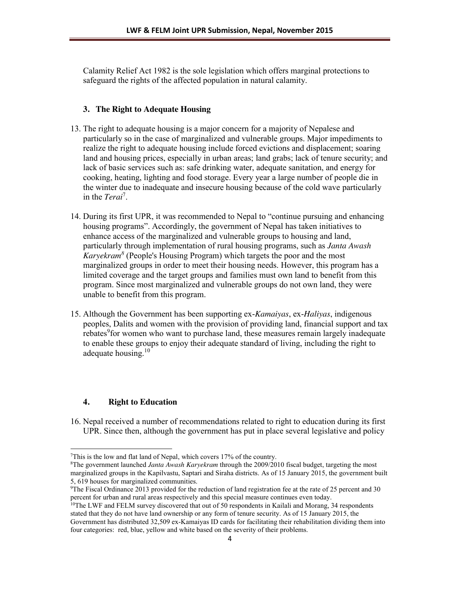Calamity Relief Act 1982 is the sole legislation which offers marginal protections to safeguard the rights of the affected population in natural calamity.

### **3. The Right to Adequate Housing**

- 13. The right to adequate housing is a major concern for a majority of Nepalese and particularly so in the case of marginalized and vulnerable groups. Major impediments to realize the right to adequate housing include forced evictions and displacement; soaring land and housing prices, especially in urban areas; land grabs; lack of tenure security; and lack of basic services such as: safe drinking water, adequate sanitation, and energy for cooking, heating, lighting and food storage. Every year a large number of people die in the winter due to inadequate and insecure housing because of the cold wave particularly in the *Terai*<sup>7</sup> .
- 14. During its first UPR, it was recommended to Nepal to "continue pursuing and enhancing housing programs". Accordingly, the government of Nepal has taken initiatives to enhance access of the marginalized and vulnerable groups to housing and land, particularly through implementation of rural housing programs, such as *Janta Awash Karyekram<sup>8</sup>* (People's Housing Program) which targets the poor and the most marginalized groups in order to meet their housing needs. However, this program has a limited coverage and the target groups and families must own land to benefit from this program. Since most marginalized and vulnerable groups do not own land, they were unable to benefit from this program.
- 15. Although the Government has been supporting ex-*Kamaiyas*, ex-*Haliyas*, indigenous peoples, Dalits and women with the provision of providing land, financial support and tax rebates<sup>9</sup> for women who want to purchase land, these measures remain largely inadequate to enable these groups to enjoy their adequate standard of living, including the right to adequate housing.<sup>10</sup>

### **4. Right to Education**

 $\overline{a}$ 

16. Nepal received a number of recommendations related to right to education during its first UPR. Since then, although the government has put in place several legislative and policy

<sup>7</sup> This is the low and flat land of Nepal, which covers 17% of the country.

<sup>8</sup> The government launched *Janta Awash Karyekram* through the 2009/2010 fiscal budget, targeting the most marginalized groups in the Kapilvastu, Saptari and Siraha districts. As of 15 January 2015, the government built 5, 619 houses for marginalized communities.

<sup>9</sup> The Fiscal Ordinance 2013 provided for the reduction of land registration fee at the rate of 25 percent and 30 percent for urban and rural areas respectively and this special measure continues even today.<br><sup>10</sup>The LWF and FELM survey discovered that out of 50 respondents in Kailali and Morang, 34 respondents

stated that they do not have land ownership or any form of tenure security. As of 15 January 2015, the Government has distributed 32,509 ex-Kamaiyas ID cards for facilitating their rehabilitation dividing them into four categories: red, blue, yellow and white based on the severity of their problems.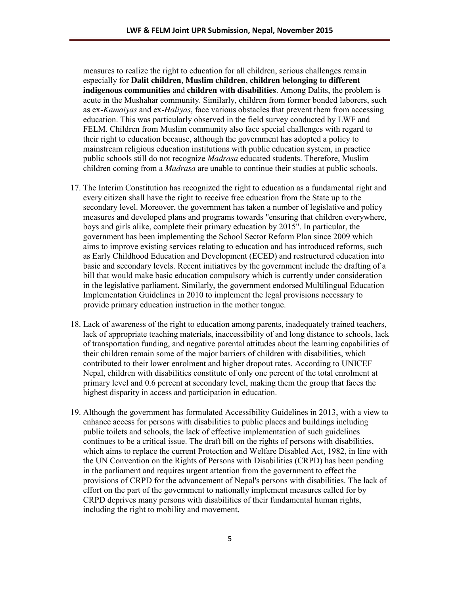measures to realize the right to education for all children, serious challenges remain especially for **Dalit children**, **Muslim children**, **children belonging to different indigenous communities** and **children with disabilities**. Among Dalits, the problem is acute in the Mushahar community. Similarly, children from former bonded laborers, such as ex-*Kamaiyas* and ex-*Haliyas*, face various obstacles that prevent them from accessing education. This was particularly observed in the field survey conducted by LWF and FELM. Children from Muslim community also face special challenges with regard to their right to education because, although the government has adopted a policy to mainstream religious education institutions with public education system, in practice public schools still do not recognize *Madrasa* educated students. Therefore, Muslim children coming from a *Madrasa* are unable to continue their studies at public schools.

- 17. The Interim Constitution has recognized the right to education as a fundamental right and every citizen shall have the right to receive free education from the State up to the secondary level. Moreover, the government has taken a number of legislative and policy measures and developed plans and programs towards "ensuring that children everywhere, boys and girls alike, complete their primary education by 2015". In particular, the government has been implementing the School Sector Reform Plan since 2009 which aims to improve existing services relating to education and has introduced reforms, such as Early Childhood Education and Development (ECED) and restructured education into basic and secondary levels. Recent initiatives by the government include the drafting of a bill that would make basic education compulsory which is currently under consideration in the legislative parliament. Similarly, the government endorsed Multilingual Education Implementation Guidelines in 2010 to implement the legal provisions necessary to provide primary education instruction in the mother tongue.
- 18. Lack of awareness of the right to education among parents, inadequately trained teachers, lack of appropriate teaching materials, inaccessibility of and long distance to schools, lack of transportation funding, and negative parental attitudes about the learning capabilities of their children remain some of the major barriers of children with disabilities, which contributed to their lower enrolment and higher dropout rates. According to UNICEF Nepal, children with disabilities constitute of only one percent of the total enrolment at primary level and 0.6 percent at secondary level, making them the group that faces the highest disparity in access and participation in education.
- 19. Although the government has formulated Accessibility Guidelines in 2013, with a view to enhance access for persons with disabilities to public places and buildings including public toilets and schools, the lack of effective implementation of such guidelines continues to be a critical issue. The draft bill on the rights of persons with disabilities, which aims to replace the current Protection and Welfare Disabled Act, 1982, in line with the UN Convention on the Rights of Persons with Disabilities (CRPD) has been pending in the parliament and requires urgent attention from the government to effect the provisions of CRPD for the advancement of Nepal's persons with disabilities. The lack of effort on the part of the government to nationally implement measures called for by CRPD deprives many persons with disabilities of their fundamental human rights, including the right to mobility and movement.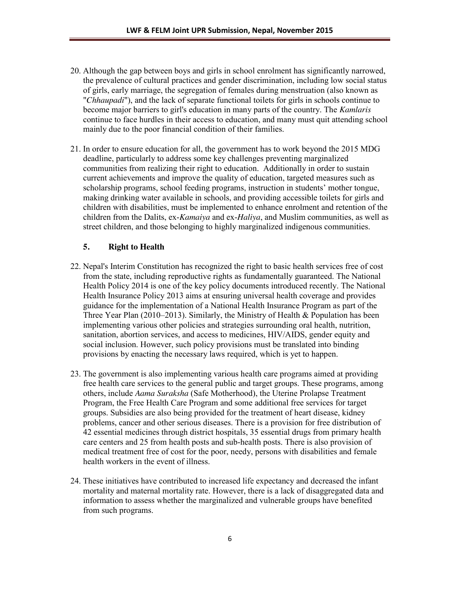- 20. Although the gap between boys and girls in school enrolment has significantly narrowed, the prevalence of cultural practices and gender discrimination, including low social status of girls, early marriage, the segregation of females during menstruation (also known as "*Chhaupadi*"), and the lack of separate functional toilets for girls in schools continue to become major barriers to girl's education in many parts of the country. The *Kamlaris* continue to face hurdles in their access to education, and many must quit attending school mainly due to the poor financial condition of their families.
- 21. In order to ensure education for all, the government has to work beyond the 2015 MDG deadline, particularly to address some key challenges preventing marginalized communities from realizing their right to education. Additionally in order to sustain current achievements and improve the quality of education, targeted measures such as scholarship programs, school feeding programs, instruction in students' mother tongue, making drinking water available in schools, and providing accessible toilets for girls and children with disabilities, must be implemented to enhance enrolment and retention of the children from the Dalits, ex-*Kamaiya* and ex-*Haliya*, and Muslim communities, as well as street children, and those belonging to highly marginalized indigenous communities.

### **5. Right to Health**

- 22. Nepal's Interim Constitution has recognized the right to basic health services free of cost from the state, including reproductive rights as fundamentally guaranteed. The National Health Policy 2014 is one of the key policy documents introduced recently. The National Health Insurance Policy 2013 aims at ensuring universal health coverage and provides guidance for the implementation of a National Health Insurance Program as part of the Three Year Plan (2010–2013). Similarly, the Ministry of Health & Population has been implementing various other policies and strategies surrounding oral health, nutrition, sanitation, abortion services, and access to medicines, HIV/AIDS, gender equity and social inclusion. However, such policy provisions must be translated into binding provisions by enacting the necessary laws required, which is yet to happen.
- 23. The government is also implementing various health care programs aimed at providing free health care services to the general public and target groups. These programs, among others, include *Aama Suraksha* (Safe Motherhood), the Uterine Prolapse Treatment Program, the Free Health Care Program and some additional free services for target groups. Subsidies are also being provided for the treatment of heart disease, kidney problems, cancer and other serious diseases. There is a provision for free distribution of 42 essential medicines through district hospitals, 35 essential drugs from primary health care centers and 25 from health posts and sub-health posts. There is also provision of medical treatment free of cost for the poor, needy, persons with disabilities and female health workers in the event of illness.
- 24. These initiatives have contributed to increased life expectancy and decreased the infant mortality and maternal mortality rate. However, there is a lack of disaggregated data and information to assess whether the marginalized and vulnerable groups have benefited from such programs.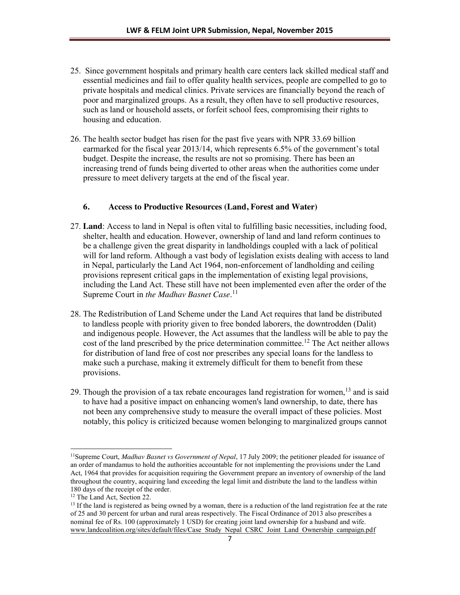- 25. Since government hospitals and primary health care centers lack skilled medical staff and essential medicines and fail to offer quality health services, people are compelled to go to private hospitals and medical clinics. Private services are financially beyond the reach of poor and marginalized groups. As a result, they often have to sell productive resources, such as land or household assets, or forfeit school fees, compromising their rights to housing and education.
- 26. The health sector budget has risen for the past five years with NPR 33.69 billion earmarked for the fiscal year 2013/14, which represents 6.5% of the government's total budget. Despite the increase, the results are not so promising. There has been an increasing trend of funds being diverted to other areas when the authorities come under pressure to meet delivery targets at the end of the fiscal year.

## **6. Access to Productive Resources (Land, Forest and Water)**

- 27. **Land**: Access to land in Nepal is often vital to fulfilling basic necessities, including food, shelter, health and education. However, ownership of land and land reform continues to be a challenge given the great disparity in landholdings coupled with a lack of political will for land reform. Although a vast body of legislation exists dealing with access to land in Nepal, particularly the Land Act 1964, non-enforcement of landholding and ceiling provisions represent critical gaps in the implementation of existing legal provisions, including the Land Act. These still have not been implemented even after the order of the Supreme Court in *the Madhav Basnet Case*. 11
- 28. The Redistribution of Land Scheme under the Land Act requires that land be distributed to landless people with priority given to free bonded laborers, the downtrodden (Dalit) and indigenous people. However, the Act assumes that the landless will be able to pay the cost of the land prescribed by the price determination committee.<sup>12</sup> The Act neither allows for distribution of land free of cost nor prescribes any special loans for the landless to make such a purchase, making it extremely difficult for them to benefit from these provisions.
- 29. Though the provision of a tax rebate encourages land registration for women,<sup>13</sup> and is said to have had a positive impact on enhancing women's land ownership, to date, there has not been any comprehensive study to measure the overall impact of these policies. Most notably, this policy is criticized because women belonging to marginalized groups cannot

 $\overline{a}$ 11Supreme Court, *Madhav Basnet vs Government of Nepal*, 17 July 2009; the petitioner pleaded for issuance of an order of mandamus to hold the authorities accountable for not implementing the provisions under the Land Act, 1964 that provides for acquisition requiring the Government prepare an inventory of ownership of the land throughout the country, acquiring land exceeding the legal limit and distribute the land to the landless within 180 days of the receipt of the order.

<sup>&</sup>lt;sup>12</sup> The Land Act, Section 22.

 $<sup>13</sup>$  If the land is registered as being owned by a woman, there is a reduction of the land registration fee at the rate</sup> of 25 and 30 percent for urban and rural areas respectively. The Fiscal Ordinance of 2013 also prescribes a nominal fee of Rs. 100 (approximately 1 USD) for creating joint land ownership for a husband and wife. www.landcoalition.org/sites/default/files/Case\_Study\_Nepal\_CSRC\_Joint\_Land\_Ownership\_campaign.pdf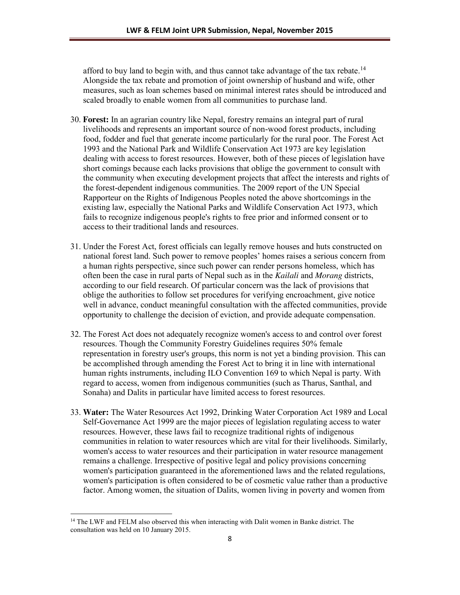afford to buy land to begin with, and thus cannot take advantage of the tax rebate.<sup>14</sup> Alongside the tax rebate and promotion of joint ownership of husband and wife, other measures, such as loan schemes based on minimal interest rates should be introduced and scaled broadly to enable women from all communities to purchase land.

- 30. **Forest:** In an agrarian country like Nepal, forestry remains an integral part of rural livelihoods and represents an important source of non-wood forest products, including food, fodder and fuel that generate income particularly for the rural poor. The Forest Act 1993 and the National Park and Wildlife Conservation Act 1973 are key legislation dealing with access to forest resources. However, both of these pieces of legislation have short comings because each lacks provisions that oblige the government to consult with the community when executing development projects that affect the interests and rights of the forest-dependent indigenous communities. The 2009 report of the UN Special Rapporteur on the Rights of Indigenous Peoples noted the above shortcomings in the existing law, especially the National Parks and Wildlife Conservation Act 1973, which fails to recognize indigenous people's rights to free prior and informed consent or to access to their traditional lands and resources.
- 31. Under the Forest Act, forest officials can legally remove houses and huts constructed on national forest land. Such power to remove peoples' homes raises a serious concern from a human rights perspective, since such power can render persons homeless, which has often been the case in rural parts of Nepal such as in the *Kailali* and *Morang* districts, according to our field research. Of particular concern was the lack of provisions that oblige the authorities to follow set procedures for verifying encroachment, give notice well in advance, conduct meaningful consultation with the affected communities, provide opportunity to challenge the decision of eviction, and provide adequate compensation.
- 32. The Forest Act does not adequately recognize women's access to and control over forest resources. Though the Community Forestry Guidelines requires 50% female representation in forestry user's groups, this norm is not yet a binding provision. This can be accomplished through amending the Forest Act to bring it in line with international human rights instruments, including ILO Convention 169 to which Nepal is party. With regard to access, women from indigenous communities (such as Tharus, Santhal, and Sonaha) and Dalits in particular have limited access to forest resources.
- 33. **Water:** The Water Resources Act 1992, Drinking Water Corporation Act 1989 and Local Self-Governance Act 1999 are the major pieces of legislation regulating access to water resources. However, these laws fail to recognize traditional rights of indigenous communities in relation to water resources which are vital for their livelihoods. Similarly, women's access to water resources and their participation in water resource management remains a challenge. Irrespective of positive legal and policy provisions concerning women's participation guaranteed in the aforementioned laws and the related regulations, women's participation is often considered to be of cosmetic value rather than a productive factor. Among women, the situation of Dalits, women living in poverty and women from

 $\overline{a}$ 

<sup>&</sup>lt;sup>14</sup> The LWF and FELM also observed this when interacting with Dalit women in Banke district. The consultation was held on 10 January 2015.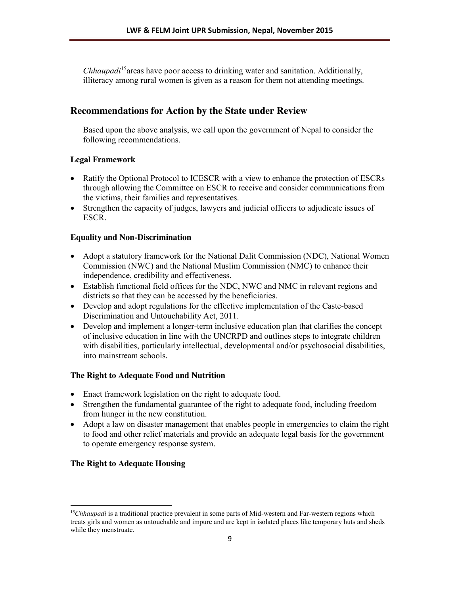*Chhaupadi*15areas have poor access to drinking water and sanitation. Additionally, illiteracy among rural women is given as a reason for them not attending meetings.

# **Recommendations for Action by the State under Review**

Based upon the above analysis, we call upon the government of Nepal to consider the following recommendations.

## **Legal Framework**

- Ratify the Optional Protocol to ICESCR with a view to enhance the protection of ESCRs through allowing the Committee on ESCR to receive and consider communications from the victims, their families and representatives.
- Strengthen the capacity of judges, lawyers and judicial officers to adjudicate issues of ESCR.

## **Equality and Non-Discrimination**

- Adopt a statutory framework for the National Dalit Commission (NDC), National Women Commission (NWC) and the National Muslim Commission (NMC) to enhance their independence, credibility and effectiveness.
- Establish functional field offices for the NDC, NWC and NMC in relevant regions and districts so that they can be accessed by the beneficiaries.
- Develop and adopt regulations for the effective implementation of the Caste-based Discrimination and Untouchability Act, 2011.
- Develop and implement a longer-term inclusive education plan that clarifies the concept of inclusive education in line with the UNCRPD and outlines steps to integrate children with disabilities, particularly intellectual, developmental and/or psychosocial disabilities, into mainstream schools.

## **The Right to Adequate Food and Nutrition**

- Enact framework legislation on the right to adequate food.
- Strengthen the fundamental guarantee of the right to adequate food, including freedom from hunger in the new constitution.
- Adopt a law on disaster management that enables people in emergencies to claim the right to food and other relief materials and provide an adequate legal basis for the government to operate emergency response system.

## **The Right to Adequate Housing**

 $\overline{a}$ 

<sup>&</sup>lt;sup>15</sup>*Chhaupadi* is a traditional practice prevalent in some parts of Mid-western and Far-western regions which treats girls and women as untouchable and impure and are kept in isolated places like temporary huts and sheds while they menstruate.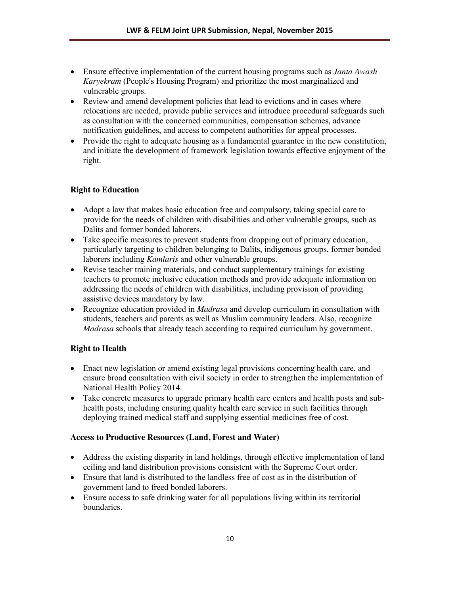- x Ensure effective implementation of the current housing programs such as *Janta Awash Karyekram* (People's Housing Program) and prioritize the most marginalized and vulnerable groups.
- Review and amend development policies that lead to evictions and in cases where relocations are needed, provide public services and introduce procedural safeguards such as consultation with the concerned communities, compensation schemes, advance notification guidelines, and access to competent authorities for appeal processes.
- Provide the right to adequate housing as a fundamental guarantee in the new constitution, and initiate the development of framework legislation towards effective enjoyment of the right.

## **Right to Education**

- Adopt a law that makes basic education free and compulsory, taking special care to provide for the needs of children with disabilities and other vulnerable groups, such as Dalits and former bonded laborers.
- Take specific measures to prevent students from dropping out of primary education, particularly targeting to children belonging to Dalits, indigenous groups, former bonded laborers including *Kamlaris* and other vulnerable groups.
- Revise teacher training materials, and conduct supplementary trainings for existing teachers to promote inclusive education methods and provide adequate information on addressing the needs of children with disabilities, including provision of providing assistive devices mandatory by law.
- x Recognize education provided in *Madrasa* and develop curriculum in consultation with students, teachers and parents as well as Muslim community leaders. Also, recognize *Madrasa* schools that already teach according to required curriculum by government.

## **Right to Health**

- Enact new legislation or amend existing legal provisions concerning health care, and ensure broad consultation with civil society in order to strengthen the implementation of National Health Policy 2014.
- Take concrete measures to upgrade primary health care centers and health posts and subhealth posts, including ensuring quality health care service in such facilities through deploying trained medical staff and supplying essential medicines free of cost.

## **Access to Productive Resources (Land, Forest and Water)**

- Address the existing disparity in land holdings, through effective implementation of land ceiling and land distribution provisions consistent with the Supreme Court order.
- Ensure that land is distributed to the landless free of cost as in the distribution of government land to freed bonded laborers.
- Ensure access to safe drinking water for all populations living within its territorial boundaries.